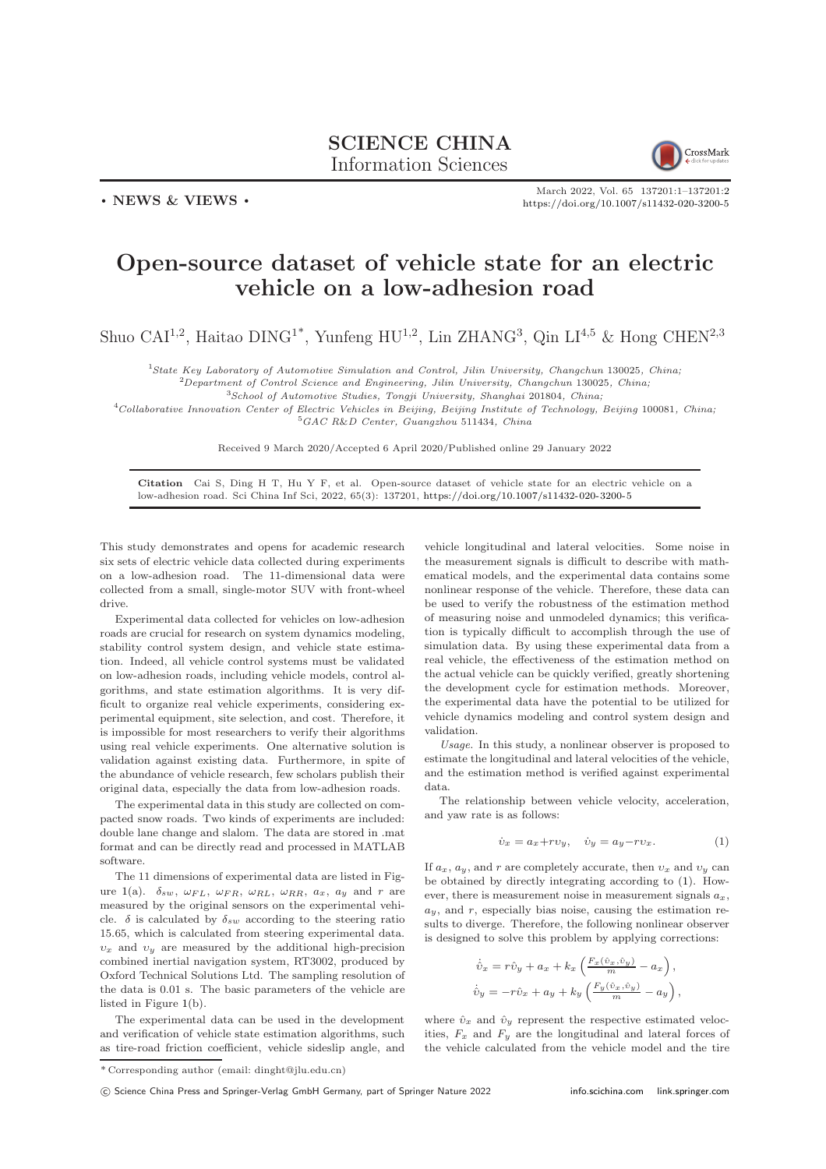## SCIENCE CHINA Information Sciences



March 2022, Vol. 65 137201:1–137201[:2](#page-1-0) <https://doi.org/10.1007/s11432-020-3200-5>

## Open-source dataset of vehicle state for an electric vehicle on a low-adhesion road

Shuo CAI<sup>1,2</sup>, Haitao DING<sup>1\*</sup>, Yunfeng HU<sup>1,2</sup>, Lin ZHANG<sup>3</sup>, Qin LI<sup>4,5</sup> & Hong CHEN<sup>2,3</sup>

<sup>1</sup>State Key Laboratory of Automotive Simulation and Control, Jilin University, Changchun 130025, China;

 $^{2}$ Department of Control Science and Engineering, Jilin University, Changchun 130025, China; <sup>3</sup>School of Automotive Studies, Tongji University, Shanghai 201804, China;

<sup>4</sup>Collaborative Innovation Center of Electric Vehicles in Beijing, Beijing Institute of Technology, Beijing 100081, China;  $^{5}GAC$  R&D Center, Guangzhou 511434, China

Received 9 March 2020/Accepted 6 April 2020/Published online 29 January 2022

Citation Cai S, Ding H T, Hu Y F, et al. Open-source dataset of vehicle state for an electric vehicle on a low-adhesion road. Sci China Inf Sci, 2022, 65(3): 137201, <https://doi.org/10.1007/s11432-020-3200-5>

This study demonstrates and opens for academic research six sets of electric vehicle data collected during experiments on a low-adhesion road. The 11-dimensional data were collected from a small, single-motor SUV with front-wheel drive.

. NEWS & VIEWS .

Experimental data collected for vehicles on low-adhesion roads are crucial for research on system dynamics modeling, stability control system design, and vehicle state estimation. Indeed, all vehicle control systems must be validated on low-adhesion roads, including vehicle models, control algorithms, and state estimation algorithms. It is very difficult to organize real vehicle experiments, considering experimental equipment, site selection, and cost. Therefore, it is impossible for most researchers to verify their algorithms using real vehicle experiments. One alternative solution is validation against existing data. Furthermore, in spite of the abundance of vehicle research, few scholars publish their original data, especially the data from low-adhesion roads.

The experimental data in this study are collected on compacted snow roads. Two kinds of experiments are included: double lane change and slalom. The data are stored in .mat format and can be directly read and processed in MATLAB software.

The 11 dimensions of experimental data are listed in Fig-ure [1\(](#page-1-1)a).  $\delta_{sw}$ ,  $\omega_{FL}$ ,  $\omega_{FR}$ ,  $\omega_{RL}$ ,  $\omega_{RR}$ ,  $a_x$ ,  $a_y$  and r are measured by the original sensors on the experimental vehicle.  $\delta$  is calculated by  $\delta_{sw}$  according to the steering ratio 15.65, which is calculated from steering experimental data.  $v_x$  and  $v_y$  are measured by the additional high-precision combined inertial navigation system, RT3002, produced by Oxford Technical Solutions Ltd. The sampling resolution of the data is 0.01 s. The basic parameters of the vehicle are listed in Figure [1\(](#page-1-1)b).

The experimental data can be used in the development and verification of vehicle state estimation algorithms, such as tire-road friction coefficient, vehicle sideslip angle, and vehicle longitudinal and lateral velocities. Some noise in the measurement signals is difficult to describe with mathematical models, and the experimental data contains some nonlinear response of the vehicle. Therefore, these data can be used to verify the robustness of the estimation method of measuring noise and unmodeled dynamics; this verification is typically difficult to accomplish through the use of simulation data. By using these experimental data from a real vehicle, the effectiveness of the estimation method on the actual vehicle can be quickly verified, greatly shortening the development cycle for estimation methods. Moreover, the experimental data have the potential to be utilized for vehicle dynamics modeling and control system design and validation.

Usage. In this study, a nonlinear observer is proposed to estimate the longitudinal and lateral velocities of the vehicle, and the estimation method is verified against experimental data.

The relationship between vehicle velocity, acceleration, and yaw rate is as follows:

<span id="page-0-0"></span>
$$
\dot{v}_x = a_x + r v_y, \quad \dot{v}_y = a_y - r v_x. \tag{1}
$$

If  $a_x$ ,  $a_y$ , and r are completely accurate, then  $v_x$  and  $v_y$  can be obtained by directly integrating according to [\(1\)](#page-0-0). However, there is measurement noise in measurement signals  $a_x$ ,  $a_y$ , and r, especially bias noise, causing the estimation results to diverge. Therefore, the following nonlinear observer is designed to solve this problem by applying corrections:

$$
\dot{\hat{v}}_x = r\hat{v}_y + a_x + k_x \left( \frac{F_x(\hat{v}_x, \hat{v}_y)}{m} - a_x \right),
$$
  

$$
\dot{\hat{v}}_y = -r\hat{v}_x + a_y + k_y \left( \frac{F_y(\hat{v}_x, \hat{v}_y)}{m} - a_y \right),
$$

where  $\hat{v}_x$  and  $\hat{v}_y$  represent the respective estimated velocities,  $F_x$  and  $F_y$  are the longitudinal and lateral forces of the vehicle calculated from the vehicle model and the tire

<sup>\*</sup> Corresponding author (email: dinght@jlu.edu.cn)

c Science China Press and Springer-Verlag GmbH Germany, part of Springer Nature 2022 <info.scichina.com><link.springer.com>